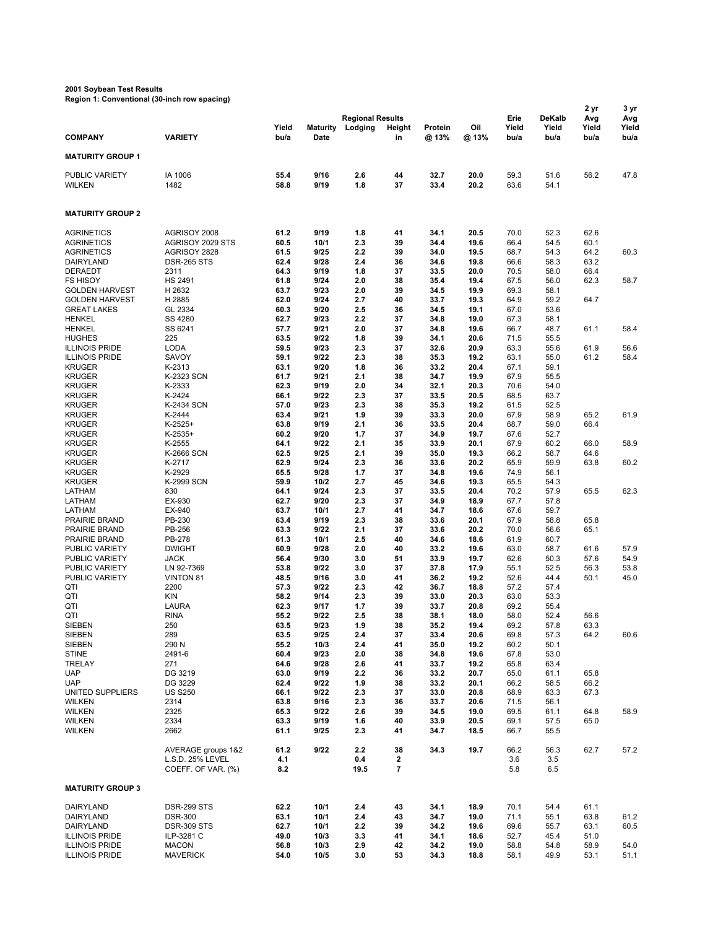## **2001 Soybean Test Results**

**Region 1: Conventional (30-inch row spacing)**

|                                                |                                                              |                    |                         |                                    |              |                  |              |                       |                                | 2 yr                 | 3 yr                 |
|------------------------------------------------|--------------------------------------------------------------|--------------------|-------------------------|------------------------------------|--------------|------------------|--------------|-----------------------|--------------------------------|----------------------|----------------------|
| <b>COMPANY</b>                                 | <b>VARIETY</b>                                               | Yield<br>bu/a      | <b>Maturity</b><br>Date | <b>Regional Results</b><br>Lodging | Height<br>in | Protein<br>@ 13% | Oil<br>@ 13% | Erie<br>Yield<br>bu/a | <b>DeKalb</b><br>Yield<br>bu/a | Avg<br>Yield<br>bu/a | Avg<br>Yield<br>bu/a |
| <b>MATURITY GROUP 1</b>                        |                                                              |                    |                         |                                    |              |                  |              |                       |                                |                      |                      |
|                                                |                                                              |                    |                         |                                    |              |                  |              |                       |                                |                      |                      |
| PUBLIC VARIETY<br><b>WILKEN</b>                | IA 1006<br>1482                                              | 55.4<br>58.8       | 9/16<br>9/19            | 2.6<br>1.8                         | 44<br>37     | 32.7<br>33.4     | 20.0<br>20.2 | 59.3<br>63.6          | 51.6<br>54.1                   | 56.2                 | 47.8                 |
| <b>MATURITY GROUP 2</b>                        |                                                              |                    |                         |                                    |              |                  |              |                       |                                |                      |                      |
| <b>AGRINETICS</b>                              | AGRISOY 2008                                                 | 61.2               | 9/19                    | 1.8                                | 41           | 34.1             | 20.5         | 70.0                  | 52.3                           | 62.6                 |                      |
| <b>AGRINETICS</b>                              | AGRISOY 2029 STS                                             | 60.5               | 10/1                    | 2.3                                | 39           | 34.4             | 19.6         | 66.4                  | 54.5                           | 60.1                 |                      |
| <b>AGRINETICS</b>                              | AGRISOY 2828                                                 | 61.5               | 9/25                    | 2.2                                | 39           | 34.0             | 19.5         | 68.7                  | 54.3                           | 64.2                 | 60.3                 |
| DAIRYLAND<br><b>DERAEDT</b>                    | <b>DSR-265 STS</b>                                           | 62.4               | 9/28                    | 2.4                                | 36           | 34.6             | 19.8         | 66.6                  | 58.3                           | 63.2                 |                      |
| <b>FS HISOY</b>                                | 2311<br><b>HS 2491</b>                                       | 64.3<br>61.8       | 9/19<br>9/24            | 1.8<br>2.0                         | 37<br>38     | 33.5<br>35.4     | 20.0<br>19.4 | 70.5<br>67.5          | 58.0<br>56.0                   | 66.4<br>62.3         | 58.7                 |
| <b>GOLDEN HARVEST</b>                          | H 2632                                                       | 63.7               | 9/23                    | 2.0                                | 39           | 34.5             | 19.9         | 69.3                  | 58.1                           |                      |                      |
| <b>GOLDEN HARVEST</b>                          | H 2885                                                       | 62.0               | 9/24                    | 2.7                                | 40           | 33.7             | 19.3         | 64.9                  | 59.2                           | 64.7                 |                      |
| <b>GREAT LAKES</b>                             | GL 2334                                                      | 60.3               | 9/20                    | 2.5                                | 36           | 34.5             | 19.1         | 67.0                  | 53.6                           |                      |                      |
| <b>HENKEL</b>                                  | SS 4280                                                      | 62.7               | 9/23                    | 2.2                                | 37           | 34.8             | 19.0         | 67.3                  | 58.1                           |                      |                      |
| <b>HENKEL</b><br><b>HUGHES</b>                 | SS 6241<br>225                                               | 57.7<br>63.5       | 9/21<br>9/22            | 2.0<br>1.8                         | 37<br>39     | 34.8<br>34.1     | 19.6<br>20.6 | 66.7<br>71.5          | 48.7<br>55.5                   | 61.1                 | 58.4                 |
| <b>ILLINOIS PRIDE</b>                          | <b>LODA</b>                                                  | 59.5               | 9/23                    | 2.3                                | 37           | 32.6             | 20.9         | 63.3                  | 55.6                           | 61.9                 | 56.6                 |
| <b>ILLINOIS PRIDE</b>                          | SAVOY                                                        | 59.1               | 9/22                    | 2.3                                | 38           | 35.3             | 19.2         | 63.1                  | 55.0                           | 61.2                 | 58.4                 |
| <b>KRUGER</b>                                  | K-2313                                                       | 63.1               | 9/20                    | 1.8                                | 36           | 33.2             | 20.4         | 67.1                  | 59.1                           |                      |                      |
| <b>KRUGER</b>                                  | K-2323 SCN                                                   | 61.7               | 9/21                    | 2.1                                | 38           | 34.7             | 19.9         | 67.9                  | 55.5                           |                      |                      |
| <b>KRUGER</b>                                  | K-2333                                                       | 62.3               | 9/19                    | 2.0                                | 34           | 32.1             | 20.3         | 70.6                  | 54.0                           |                      |                      |
| <b>KRUGER</b>                                  | K-2424                                                       | 66.1               | 9/22<br>9/23            | 2.3                                | 37<br>38     | 33.5<br>35.3     | 20.5<br>19.2 | 68.5                  | 63.7<br>52.5                   |                      |                      |
| <b>KRUGER</b><br><b>KRUGER</b>                 | K-2434 SCN<br>K-2444                                         | 57.0<br>63.4       | 9/21                    | 2.3<br>1.9                         | 39           | 33.3             | 20.0         | 61.5<br>67.9          | 58.9                           | 65.2                 | 61.9                 |
| <b>KRUGER</b>                                  | $K-2525+$                                                    | 63.8               | 9/19                    | 2.1                                | 36           | 33.5             | 20.4         | 68.7                  | 59.0                           | 66.4                 |                      |
| <b>KRUGER</b>                                  | $K-2535+$                                                    | 60.2               | 9/20                    | 1.7                                | 37           | 34.9             | 19.7         | 67.6                  | 52.7                           |                      |                      |
| <b>KRUGER</b>                                  | K-2555                                                       | 64.1               | 9/22                    | 2.1                                | 35           | 33.9             | 20.1         | 67.9                  | 60.2                           | 66.0                 | 58.9                 |
| <b>KRUGER</b>                                  | K-2666 SCN                                                   | 62.5               | 9/25                    | 2.1                                | 39           | 35.0             | 19.3         | 66.2                  | 58.7                           | 64.6                 |                      |
| <b>KRUGER</b><br><b>KRUGER</b>                 | K-2717<br>K-2929                                             | 62.9<br>65.5       | 9/24<br>9/28            | 2.3<br>1.7                         | 36<br>37     | 33.6<br>34.8     | 20.2<br>19.6 | 65.9<br>74.9          | 59.9<br>56.1                   | 63.8                 | 60.2                 |
| <b>KRUGER</b>                                  | K-2999 SCN                                                   | 59.9               | 10/2                    | 2.7                                | 45           | 34.6             | 19.3         | 65.5                  | 54.3                           |                      |                      |
| LATHAM                                         | 830                                                          | 64.1               | 9/24                    | 2.3                                | 37           | 33.5             | 20.4         | 70.2                  | 57.9                           | 65.5                 | 62.3                 |
| LATHAM                                         | EX-930                                                       | 62.7               | 9/20                    | 2.3                                | 37           | 34.9             | 18.9         | 67.7                  | 57.8                           |                      |                      |
| LATHAM                                         | EX-940                                                       | 63.7               | 10/1                    | 2.7                                | 41           | 34.7             | 18.6         | 67.6                  | 59.7                           |                      |                      |
| PRAIRIE BRAND                                  | PB-230                                                       | 63.4               | 9/19<br>9/22            | 2.3                                | 38<br>37     | 33.6             | 20.1<br>20.2 | 67.9                  | 58.8                           | 65.8                 |                      |
| PRAIRIE BRAND<br>PRAIRIE BRAND                 | PB-256<br>PB-278                                             | 63.3<br>61.3       | 10/1                    | 2.1<br>2.5                         | 40           | 33.6<br>34.6     | 18.6         | 70.0<br>61.9          | 56.6<br>60.7                   | 65.1                 |                      |
| PUBLIC VARIETY                                 | <b>DWIGHT</b>                                                | 60.9               | 9/28                    | 2.0                                | 40           | 33.2             | 19.6         | 63.0                  | 58.7                           | 61.6                 | 57.9                 |
| PUBLIC VARIETY                                 | <b>JACK</b>                                                  | 56.4               | 9/30                    | 3.0                                | 51           | 33.9             | 19.7         | 62.6                  | 50.3                           | 57.6                 | 54.9                 |
| PUBLIC VARIETY                                 | LN 92-7369                                                   | 53.8               | 9/22                    | 3.0                                | 37           | 37.8             | 17.9         | 55.1                  | 52.5                           | 56.3                 | 53.8                 |
| PUBLIC VARIETY                                 | <b>VINTON 81</b>                                             | 48.5               | 9/16                    | 3.0                                | 41           | 36.2             | 19.2         | 52.6                  | 44.4                           | 50.1                 | 45.0                 |
| QTI<br>QTI                                     | 2200<br><b>KIN</b>                                           | 57.3<br>58.2       | 9/22<br>9/14            | 2.3<br>2.3                         | 42<br>39     | 36.7<br>33.0     | 18.8<br>20.3 | 57.2<br>63.0          | 57.4<br>53.3                   |                      |                      |
| QTI                                            | <b>LAURA</b>                                                 | 62.3               | 9/17                    | 1.7                                | 39           | 33.7             | 20.8         | 69.2                  | 55.4                           |                      |                      |
| QTI                                            | <b>RINA</b>                                                  | 55.2               | 9/22                    | 2.5                                | 38           | 38.1             | 18.0         | 58.0                  | 52.4                           | 56.6                 |                      |
| <b>SIEBEN</b>                                  | 250                                                          | 63.5               | 9/23                    | 1.9                                | 38           | 35.2             | 19.4         | 69.2                  | 57.8                           | 63.3                 |                      |
| SIEBEN                                         | 289                                                          | 63.5               | 9/25                    | 2.4                                | 37           | 33.4             | 20.6         | 69.8                  | 57.3                           | 64.2                 | 60.6                 |
| <b>SIEBEN</b>                                  | 290 N<br>2491-6                                              | 55.2<br>60.4       | 10/3<br>9/23            | 2.4<br>2.0                         | 41<br>38     | 35.0<br>34.8     | 19.2<br>19.6 | 60.2<br>67.8          | 50.1<br>53.0                   |                      |                      |
| <b>STINE</b><br><b>TRELAY</b>                  | 271                                                          | 64.6               | 9/28                    | 2.6                                | 41           | 33.7             | 19.2         | 65.8                  | 63.4                           |                      |                      |
| <b>UAP</b>                                     | DG 3219                                                      | 63.0               | 9/19                    | 2.2                                | 36           | 33.2             | 20.7         | 65.0                  | 61.1                           | 65.8                 |                      |
| <b>UAP</b>                                     | DG 3229                                                      | 62.4               | 9/22                    | 1.9                                | 38           | 33.2             | 20.1         | 66.2                  | 58.5                           | 66.2                 |                      |
| UNITED SUPPLIERS                               | <b>US S250</b>                                               | 66.1               | 9/22                    | 2.3                                | 37           | 33.0             | 20.8         | 68.9                  | 63.3                           | 67.3                 |                      |
| WILKEN                                         | 2314                                                         | 63.8               | 9/16                    | 2.3                                | 36           | 33.7             | 20.6         | 71.5                  | 56.1                           |                      |                      |
| <b>WILKEN</b>                                  | 2325                                                         | 65.3               | 9/22                    | 2.6                                | 39           | 34.5             | 19.0         | 69.5                  | 61.1                           | 64.8                 | 58.9                 |
| <b>WILKEN</b><br>WILKEN                        | 2334<br>2662                                                 | 63.3<br>61.1       | 9/19<br>9/25            | 1.6<br>2.3                         | 40<br>41     | 33.9<br>34.7     | 20.5<br>18.5 | 69.1<br>66.7          | 57.5<br>55.5                   | 65.0                 |                      |
|                                                |                                                              |                    |                         |                                    |              |                  |              |                       |                                |                      |                      |
|                                                | AVERAGE groups 1&2<br>L.S.D. 25% LEVEL<br>COEFF. OF VAR. (%) | 61.2<br>4.1<br>8.2 | 9/22                    | 2.2<br>0.4<br>19.5                 | 38<br>2<br>7 | 34.3             | 19.7         | 66.2<br>3.6<br>5.8    | 56.3<br>3.5<br>6.5             | 62.7                 | 57.2                 |
| <b>MATURITY GROUP 3</b>                        |                                                              |                    |                         |                                    |              |                  |              |                       |                                |                      |                      |
| DAIRYLAND                                      | DSR-299 STS                                                  | 62.2               | 10/1                    | 2.4                                | 43           | 34.1             | 18.9         | 70.1                  | 54.4                           | 61.1                 |                      |
| DAIRYLAND                                      | <b>DSR-300</b>                                               | 63.1               | 10/1                    | 2.4                                | 43           | 34.7             | 19.0         | 71.1                  | 55.1                           | 63.8                 | 61.2                 |
| DAIRYLAND                                      | <b>DSR-309 STS</b>                                           | 62.7               | 10/1                    | 2.2                                | 39           | 34.2             | 19.6         | 69.6                  | 55.7                           | 63.1                 | 60.5                 |
| <b>ILLINOIS PRIDE</b>                          | ILP-3281 C                                                   | 49.0               | 10/3                    | 3.3                                | 41           | 34.1             | 18.6         | 52.7                  | 45.4                           | 51.0                 |                      |
| <b>ILLINOIS PRIDE</b><br><b>ILLINOIS PRIDE</b> | <b>MACON</b><br><b>MAVERICK</b>                              | 56.8<br>54.0       | 10/3<br>10/5            | 2.9<br>3.0                         | 42<br>53     | 34.2<br>34.3     | 19.0<br>18.8 | 58.8<br>58.1          | 54.8<br>49.9                   | 58.9<br>53.1         | 54.0<br>51.1         |